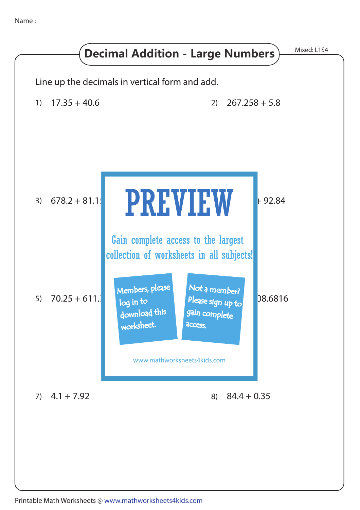